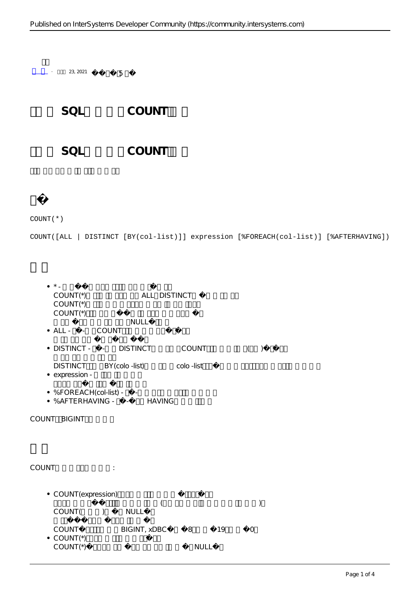SQL COUNT SQL COUNT

 $+$  23, 2021  $-$  5

COUNT(\*)

COUNT([ALL | DISTINCT [BY(col-list)]] expression [%FOREACH(col-list)] [%AFTERHAVING])

| $\star$<br>$COMNT(*)$<br>$COUNT*$<br>$COUNT(*)$ | ALL DISTINCT              |                 |                              |  |
|-------------------------------------------------|---------------------------|-----------------|------------------------------|--|
| • ALL - - COUNT                                 | NULL                      |                 |                              |  |
| · DISTINCT - - DISTINCT                         |                           | COUNT           | $\left($<br>$\left( \right)$ |  |
| <b>DISTINCT</b><br>• expression -               | BY (colo -list)           | colo -list      |                              |  |
| • %FOREACH(col-list) - -                        | • %AFTERHAVING - - HAVING |                 |                              |  |
| COUNT BIGINT                                    |                           |                 |                              |  |
|                                                 |                           |                 |                              |  |
| COUNT                                           | $\mathcal{V}^{\pm}$       |                 |                              |  |
| • COUNT (expression)                            |                           |                 |                              |  |
| COUNT(<br>$\left( \right)$                      | NULL                      |                 |                              |  |
| COUNT<br>$\bullet$ COUNT(*)<br>$COUNT(*)$       | BIGINT, xDBC              | 8<br>19<br>NULL | $\bigcirc$                   |  |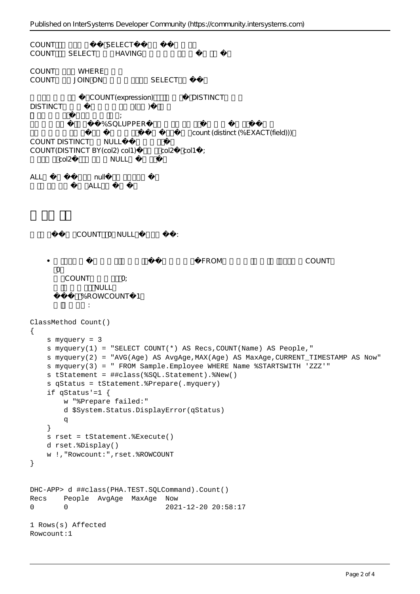```
COUNT SELECT
COUNT SELECT HAVING
COUNT WHERE
COUNT JOIN ON SELECT
                 COUNT(expression) DISTINCT
DISTINCT ( )
\mathcal{L}%SQLUPPER
                                               count (distinct (%EXACT(field)))
COUNT DISTINCT NULL
COUNT(DISTINCT BY(col2) col1) col2 col1 ;
        col2 NULL
ALL null null
                ALL
             COUNT O NULL, the country of the state of the state of the state of the state of the state of the state of the state of the state of the state of the state of the state of the state of the state of the state of the state o
     \bulletPROM, The Local Secretary of Local Secretary of Local Secretary of Local Secretary of Local Secretary of Local Secretary of Local Secretary of Local Secretary of Local Secretary of Local Secretary of Local Secretary of 
       \bigcapCOUNT O:
                  NUII%ROWCOUNT 1
       如下示例所示:
ClassMethod Count()
{
     s myquery = 3
    s myquery(1) = "SELECT COUNT(*) AS Recs, COUNT(Name) AS People, "
     s myquery(2) = "AVG(Age) AS AvgAge,MAX(Age) AS MaxAge,CURRENT_TIMESTAMP AS Now"
     s myquery(3) = " FROM Sample.Employee WHERE Name %STARTSWITH 'ZZZ'"
     s tStatement = ##class(%SQL.Statement).%New()
      s qStatus = tStatement.%Prepare(.myquery)
      if qStatus'=1 {
          w "%Prepare failed:" 
          d $System.Status.DisplayError(qStatus) 
          q
      }
     s rset = tStatement.%Execute()
     d rset.%Display()
     w !,"Rowcount:",rset.%ROWCOUNT
}
DHC-APP> d ##class(PHA.TEST.SQLCommand).Count()
Recs People AvgAge MaxAge Now
0 0 2021-12-20 20:58:17
1 Rows(s) Affected
Rowcount:1
```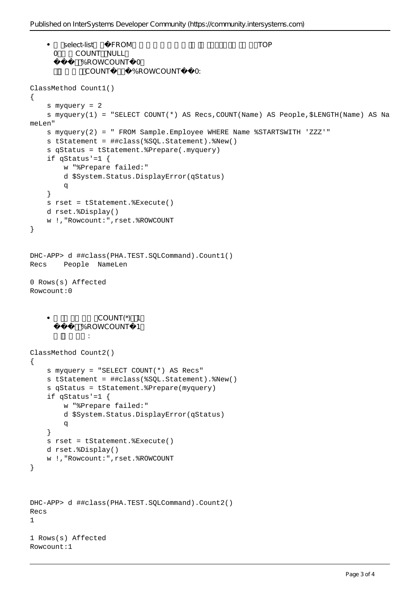```
select-list FROM TOP
    \bullet0 COUNT NULL
            %ROWCOUNT 0
             COUNT %ROWCOUNT 0:
ClassMethod Count1()
{
     s myquery = 2
     s myquery(1) = "SELECT COUNT(*) AS Recs,COUNT(Name) AS People,$LENGTH(Name) AS Na
meLen"
     s myquery(2) = " FROM Sample.Employee WHERE Name %STARTSWITH 'ZZZ'"
     s tStatement = ##class(%SQL.Statement).%New()
     s qStatus = tStatement.%Prepare(.myquery)
     if qStatus'=1 {
        w "%Prepare failed:" 
         d $System.Status.DisplayError(qStatus) 
q
     }
     s rset = tStatement.%Execute()
     d rset.%Display()
     w !,"Rowcount:",rset.%ROWCOUNT
}
DHC-APP> d ##class(PHA.TEST.SQLCommand).Count1()
Recs People NameLen
0 Rows(s) Affected
Rowcount:0
    \bulletC<sup>(1)</sup> COUNT(*) 1%ROWCOUNT 1
     如下示例所示:
ClassMethod Count2()
{
     s myquery = "SELECT COUNT(*) AS Recs"
     s tStatement = ##class(%SQL.Statement).%New()
     s qStatus = tStatement.%Prepare(myquery)
     if qStatus'=1 {
        w "%Prepare failed:" 
         d $System.Status.DisplayError(qStatus) 
q
     }
     s rset = tStatement.%Execute()
     d rset.%Display()
     w !,"Rowcount:",rset.%ROWCOUNT
}
DHC-APP> d ##class(PHA.TEST.SQLCommand).Count2()
Recs
1
1 Rows(s) Affected
Rowcount:1
```